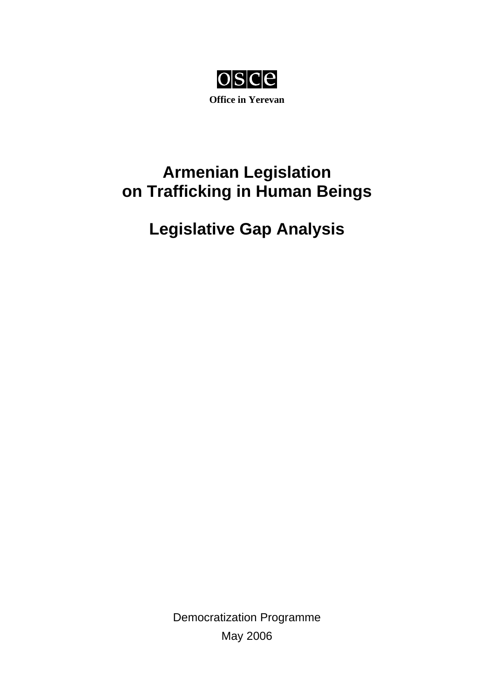

# **Armenian Legislation on Trafficking in Human Beings**

# **Legislative Gap Analysis**

Democratization Programme May 2006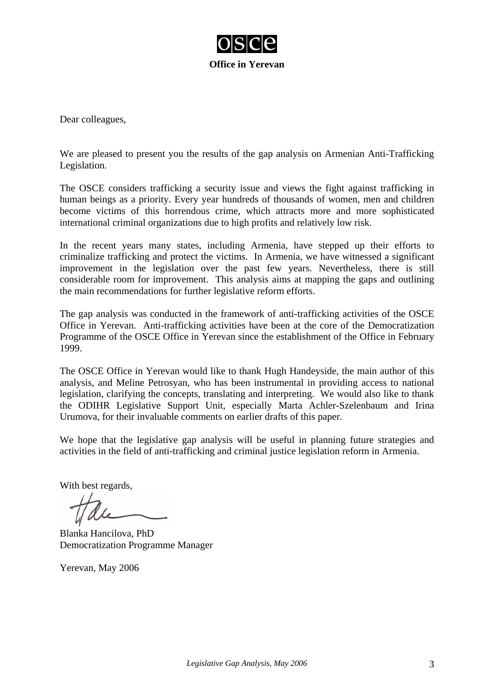

Dear colleagues,

We are pleased to present you the results of the gap analysis on Armenian Anti-Trafficking Legislation.

The OSCE considers trafficking a security issue and views the fight against trafficking in human beings as a priority. Every year hundreds of thousands of women, men and children become victims of this horrendous crime, which attracts more and more sophisticated international criminal organizations due to high profits and relatively low risk.

In the recent years many states, including Armenia, have stepped up their efforts to criminalize trafficking and protect the victims. In Armenia, we have witnessed a significant improvement in the legislation over the past few years. Nevertheless, there is still considerable room for improvement. This analysis aims at mapping the gaps and outlining the main recommendations for further legislative reform efforts.

The gap analysis was conducted in the framework of anti-trafficking activities of the OSCE Office in Yerevan. Anti-trafficking activities have been at the core of the Democratization Programme of the OSCE Office in Yerevan since the establishment of the Office in February 1999.

The OSCE Office in Yerevan would like to thank Hugh Handeyside, the main author of this analysis, and Meline Petrosyan, who has been instrumental in providing access to national legislation, clarifying the concepts, translating and interpreting. We would also like to thank the ODIHR Legislative Support Unit, especially Marta Achler-Szelenbaum and Irina Urumova, for their invaluable comments on earlier drafts of this paper.

We hope that the legislative gap analysis will be useful in planning future strategies and activities in the field of anti-trafficking and criminal justice legislation reform in Armenia.

With best regards,

Blanka Hancilova, PhD Democratization Programme Manager

Yerevan, May 2006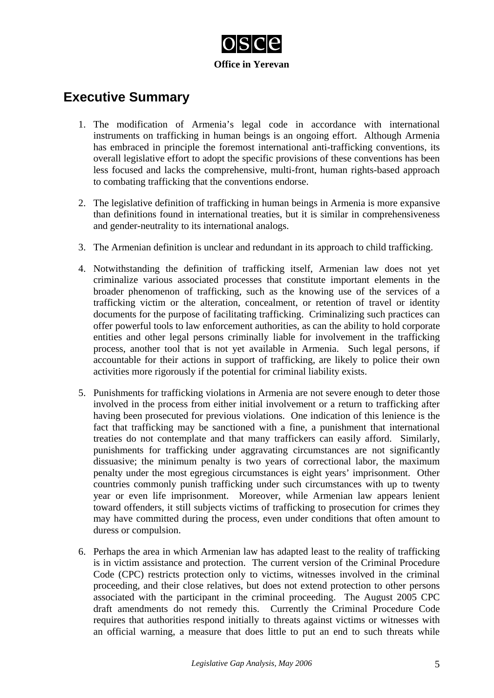

# **Executive Summary**

- 1. The modification of Armenia's legal code in accordance with international instruments on trafficking in human beings is an ongoing effort. Although Armenia has embraced in principle the foremost international anti-trafficking conventions, its overall legislative effort to adopt the specific provisions of these conventions has been less focused and lacks the comprehensive, multi-front, human rights-based approach to combating trafficking that the conventions endorse.
- 2. The legislative definition of trafficking in human beings in Armenia is more expansive than definitions found in international treaties, but it is similar in comprehensiveness and gender-neutrality to its international analogs.
- 3. The Armenian definition is unclear and redundant in its approach to child trafficking.
- 4. Notwithstanding the definition of trafficking itself, Armenian law does not yet criminalize various associated processes that constitute important elements in the broader phenomenon of trafficking, such as the knowing use of the services of a trafficking victim or the alteration, concealment, or retention of travel or identity documents for the purpose of facilitating trafficking. Criminalizing such practices can offer powerful tools to law enforcement authorities, as can the ability to hold corporate entities and other legal persons criminally liable for involvement in the trafficking process, another tool that is not yet available in Armenia. Such legal persons, if accountable for their actions in support of trafficking, are likely to police their own activities more rigorously if the potential for criminal liability exists.
- 5. Punishments for trafficking violations in Armenia are not severe enough to deter those involved in the process from either initial involvement or a return to trafficking after having been prosecuted for previous violations. One indication of this lenience is the fact that trafficking may be sanctioned with a fine, a punishment that international treaties do not contemplate and that many traffickers can easily afford. Similarly, punishments for trafficking under aggravating circumstances are not significantly dissuasive; the minimum penalty is two years of correctional labor, the maximum penalty under the most egregious circumstances is eight years' imprisonment. Other countries commonly punish trafficking under such circumstances with up to twenty year or even life imprisonment. Moreover, while Armenian law appears lenient toward offenders, it still subjects victims of trafficking to prosecution for crimes they may have committed during the process, even under conditions that often amount to duress or compulsion.
- 6. Perhaps the area in which Armenian law has adapted least to the reality of trafficking is in victim assistance and protection. The current version of the Criminal Procedure Code (CPC) restricts protection only to victims, witnesses involved in the criminal proceeding, and their close relatives, but does not extend protection to other persons associated with the participant in the criminal proceeding. The August 2005 CPC draft amendments do not remedy this. Currently the Criminal Procedure Code requires that authorities respond initially to threats against victims or witnesses with an official warning, a measure that does little to put an end to such threats while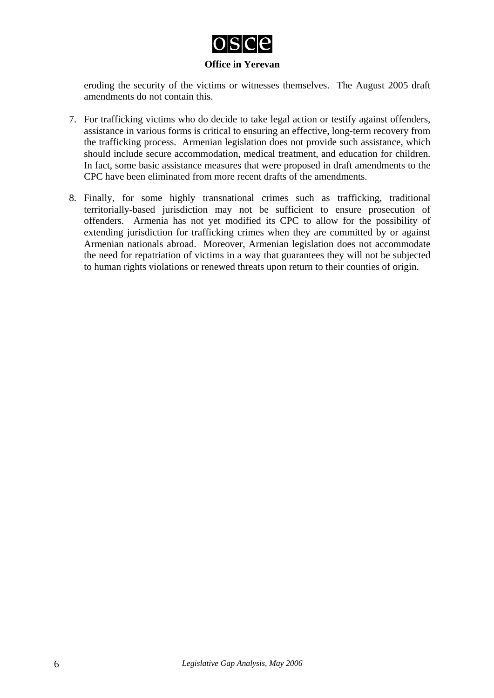

eroding the security of the victims or witnesses themselves. The August 2005 draft amendments do not contain this.

- 7. For trafficking victims who do decide to take legal action or testify against offenders, assistance in various forms is critical to ensuring an effective, long-term recovery from the trafficking process. Armenian legislation does not provide such assistance, which should include secure accommodation, medical treatment, and education for children. In fact, some basic assistance measures that were proposed in draft amendments to the CPC have been eliminated from more recent drafts of the amendments.
- 8. Finally, for some highly transnational crimes such as trafficking, traditional territorially-based jurisdiction may not be sufficient to ensure prosecution of offenders. Armenia has not yet modified its CPC to allow for the possibility of extending jurisdiction for trafficking crimes when they are committed by or against Armenian nationals abroad. Moreover, Armenian legislation does not accommodate the need for repatriation of victims in a way that guarantees they will not be subjected to human rights violations or renewed threats upon return to their counties of origin.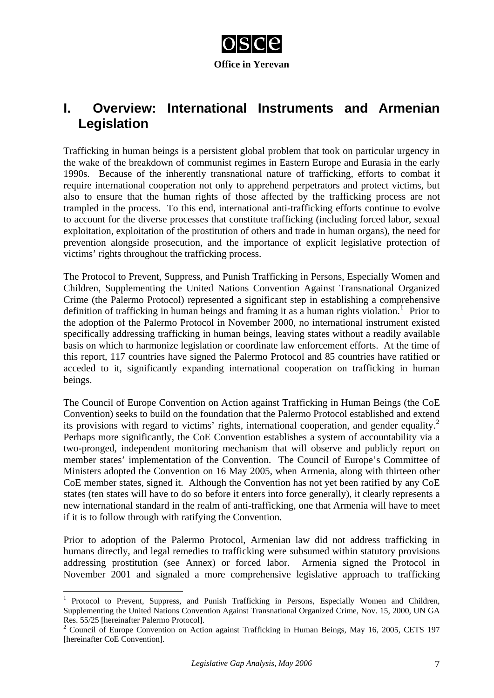

# **I. Overview: International Instruments and Armenian Legislation**

Trafficking in human beings is a persistent global problem that took on particular urgency in the wake of the breakdown of communist regimes in Eastern Europe and Eurasia in the early 1990s. Because of the inherently transnational nature of trafficking, efforts to combat it require international cooperation not only to apprehend perpetrators and protect victims, but also to ensure that the human rights of those affected by the trafficking process are not trampled in the process. To this end, international anti-trafficking efforts continue to evolve to account for the diverse processes that constitute trafficking (including forced labor, sexual exploitation, exploitation of the prostitution of others and trade in human organs), the need for prevention alongside prosecution, and the importance of explicit legislative protection of victims' rights throughout the trafficking process.

The Protocol to Prevent, Suppress, and Punish Trafficking in Persons, Especially Women and Children, Supplementing the United Nations Convention Against Transnational Organized Crime (the Palermo Protocol) represented a significant step in establishing a comprehensive definition of trafficking in human beings and framing it as a human rights violation.<sup>[1](#page-6-0)</sup> Prior to the adoption of the Palermo Protocol in November 2000, no international instrument existed specifically addressing trafficking in human beings, leaving states without a readily available basis on which to harmonize legislation or coordinate law enforcement efforts. At the time of this report, 117 countries have signed the Palermo Protocol and 85 countries have ratified or acceded to it, significantly expanding international cooperation on trafficking in human beings.

The Council of Europe Convention on Action against Trafficking in Human Beings (the CoE Convention) seeks to build on the foundation that the Palermo Protocol established and extend its provisions with regard to victims' rights, international cooperation, and gender equality. $2$ Perhaps more significantly, the CoE Convention establishes a system of accountability via a two-pronged, independent monitoring mechanism that will observe and publicly report on member states' implementation of the Convention. The Council of Europe's Committee of Ministers adopted the Convention on 16 May 2005, when Armenia, along with thirteen other CoE member states, signed it. Although the Convention has not yet been ratified by any CoE states (ten states will have to do so before it enters into force generally), it clearly represents a new international standard in the realm of anti-trafficking, one that Armenia will have to meet if it is to follow through with ratifying the Convention.

Prior to adoption of the Palermo Protocol, Armenian law did not address trafficking in humans directly, and legal remedies to trafficking were subsumed within statutory provisions addressing prostitution (see Annex) or forced labor. Armenia signed the Protocol in November 2001 and signaled a more comprehensive legislative approach to trafficking

<span id="page-6-0"></span><sup>1</sup> Protocol to Prevent, Suppress, and Punish Trafficking in Persons, Especially Women and Children, Supplementing the United Nations Convention Against Transnational Organized Crime, Nov. 15, 2000, UN GA Res. 55/25 [hereinafter Palermo Protocol].

<span id="page-6-1"></span><sup>&</sup>lt;sup>2</sup> Council of Europe Convention on Action against Trafficking in Human Beings, May 16, 2005, CETS 197 [hereinafter CoE Convention].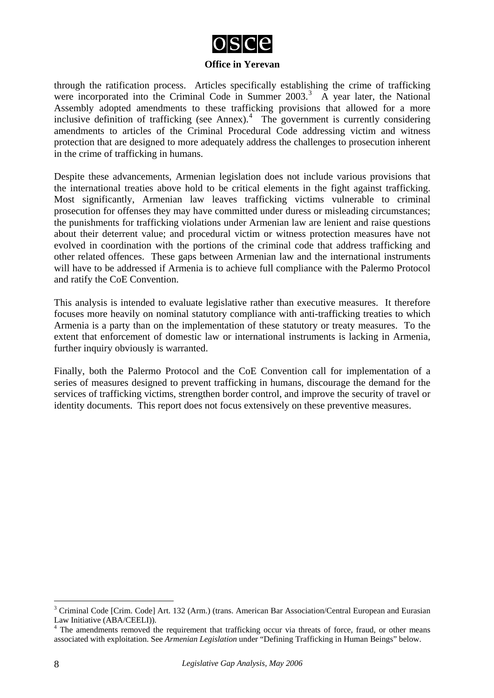

through the ratification process. Articles specifically establishing the crime of trafficking were incorporated into the Criminal Code in Summer 200[3](#page-7-0).<sup>3</sup> A year later, the National Assembly adopted amendments to these trafficking provisions that allowed for a more inclusive definition of trafficking (see Annex). $4$  The government is currently considering amendments to articles of the Criminal Procedural Code addressing victim and witness protection that are designed to more adequately address the challenges to prosecution inherent in the crime of trafficking in humans.

Despite these advancements, Armenian legislation does not include various provisions that the international treaties above hold to be critical elements in the fight against trafficking. Most significantly, Armenian law leaves trafficking victims vulnerable to criminal prosecution for offenses they may have committed under duress or misleading circumstances; the punishments for trafficking violations under Armenian law are lenient and raise questions about their deterrent value; and procedural victim or witness protection measures have not evolved in coordination with the portions of the criminal code that address trafficking and other related offences. These gaps between Armenian law and the international instruments will have to be addressed if Armenia is to achieve full compliance with the Palermo Protocol and ratify the CoE Convention.

This analysis is intended to evaluate legislative rather than executive measures. It therefore focuses more heavily on nominal statutory compliance with anti-trafficking treaties to which Armenia is a party than on the implementation of these statutory or treaty measures. To the extent that enforcement of domestic law or international instruments is lacking in Armenia, further inquiry obviously is warranted.

Finally, both the Palermo Protocol and the CoE Convention call for implementation of a series of measures designed to prevent trafficking in humans, discourage the demand for the services of trafficking victims, strengthen border control, and improve the security of travel or identity documents. This report does not focus extensively on these preventive measures.

<span id="page-7-0"></span><sup>&</sup>lt;sup>3</sup> Criminal Code [Crim. Code] Art. 132 (Arm.) (trans. American Bar Association/Central European and Eurasian Law Initiative (ABA/CEELI)).

<span id="page-7-1"></span><sup>&</sup>lt;sup>4</sup> The amendments removed the requirement that trafficking occur via threats of force, fraud, or other means associated with exploitation. See *Armenian Legislation* under "Defining Trafficking in Human Beings" below.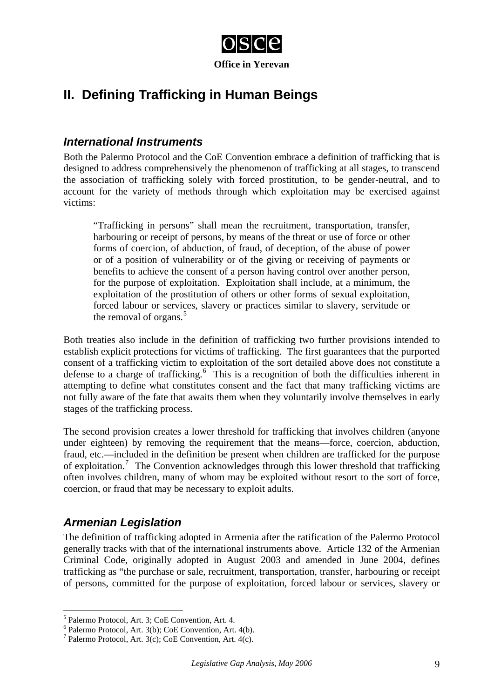

# **II. Defining Trafficking in Human Beings**

### *International Instruments*

Both the Palermo Protocol and the CoE Convention embrace a definition of trafficking that is designed to address comprehensively the phenomenon of trafficking at all stages, to transcend the association of trafficking solely with forced prostitution, to be gender-neutral, and to account for the variety of methods through which exploitation may be exercised against victims:

"Trafficking in persons" shall mean the recruitment, transportation, transfer, harbouring or receipt of persons, by means of the threat or use of force or other forms of coercion, of abduction, of fraud, of deception, of the abuse of power or of a position of vulnerability or of the giving or receiving of payments or benefits to achieve the consent of a person having control over another person, for the purpose of exploitation. Exploitation shall include, at a minimum, the exploitation of the prostitution of others or other forms of sexual exploitation, forced labour or services, slavery or practices similar to slavery, servitude or the removal of organs. $5$ 

Both treaties also include in the definition of trafficking two further provisions intended to establish explicit protections for victims of trafficking. The first guarantees that the purported consent of a trafficking victim to exploitation of the sort detailed above does not constitute a defense to a charge of trafficking.<sup>[6](#page-8-1)</sup> This is a recognition of both the difficulties inherent in attempting to define what constitutes consent and the fact that many trafficking victims are not fully aware of the fate that awaits them when they voluntarily involve themselves in early stages of the trafficking process.

The second provision creates a lower threshold for trafficking that involves children (anyone under eighteen) by removing the requirement that the means—force, coercion, abduction, fraud, etc.—included in the definition be present when children are trafficked for the purpose of exploitation.<sup>[7](#page-8-2)</sup> The Convention acknowledges through this lower threshold that trafficking often involves children, many of whom may be exploited without resort to the sort of force, coercion, or fraud that may be necessary to exploit adults.

## *Armenian Legislation*

1

The definition of trafficking adopted in Armenia after the ratification of the Palermo Protocol generally tracks with that of the international instruments above. Article 132 of the Armenian Criminal Code, originally adopted in August 2003 and amended in June 2004, defines trafficking as "the purchase or sale, recruitment, transportation, transfer, harbouring or receipt of persons, committed for the purpose of exploitation, forced labour or services, slavery or

<span id="page-8-0"></span><sup>5</sup> Palermo Protocol, Art. 3; CoE Convention, Art. 4.

<span id="page-8-1"></span><sup>6</sup> Palermo Protocol, Art. 3(b); CoE Convention, Art. 4(b).

<span id="page-8-2"></span><sup>&</sup>lt;sup>7</sup> Palermo Protocol, Art. 3(c); CoE Convention, Art. 4(c).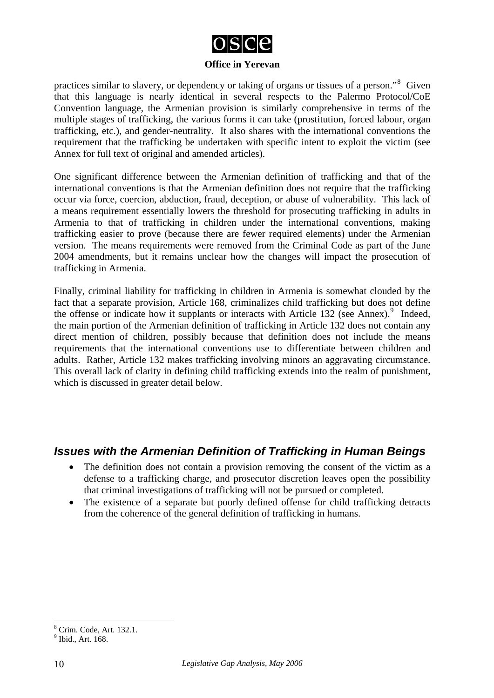

practices similar to slavery, or dependency or taking of organs or tissues of a person."<sup>[8](#page-9-0)</sup> Given that this language is nearly identical in several respects to the Palermo Protocol/CoE Convention language, the Armenian provision is similarly comprehensive in terms of the multiple stages of trafficking, the various forms it can take (prostitution, forced labour, organ trafficking, etc.), and gender-neutrality. It also shares with the international conventions the requirement that the trafficking be undertaken with specific intent to exploit the victim (see Annex for full text of original and amended articles).

One significant difference between the Armenian definition of trafficking and that of the international conventions is that the Armenian definition does not require that the trafficking occur via force, coercion, abduction, fraud, deception, or abuse of vulnerability. This lack of a means requirement essentially lowers the threshold for prosecuting trafficking in adults in Armenia to that of trafficking in children under the international conventions, making trafficking easier to prove (because there are fewer required elements) under the Armenian version. The means requirements were removed from the Criminal Code as part of the June 2004 amendments, but it remains unclear how the changes will impact the prosecution of trafficking in Armenia.

Finally, criminal liability for trafficking in children in Armenia is somewhat clouded by the fact that a separate provision, Article 168, criminalizes child trafficking but does not define the offense or indicate how it supplants or interacts with Article 132 (see Annex). $9$  Indeed, the main portion of the Armenian definition of trafficking in Article 132 does not contain any direct mention of children, possibly because that definition does not include the means requirements that the international conventions use to differentiate between children and adults. Rather, Article 132 makes trafficking involving minors an aggravating circumstance. This overall lack of clarity in defining child trafficking extends into the realm of punishment, which is discussed in greater detail below.

#### *Issues with the Armenian Definition of Trafficking in Human Beings*

- The definition does not contain a provision removing the consent of the victim as a defense to a trafficking charge, and prosecutor discretion leaves open the possibility that criminal investigations of trafficking will not be pursued or completed.
- The existence of a separate but poorly defined offense for child trafficking detracts from the coherence of the general definition of trafficking in humans.

<span id="page-9-0"></span><sup>8</sup> Crim. Code, Art. 132.1.

<span id="page-9-1"></span><sup>&</sup>lt;sup>9</sup> Ibid., Art. 168.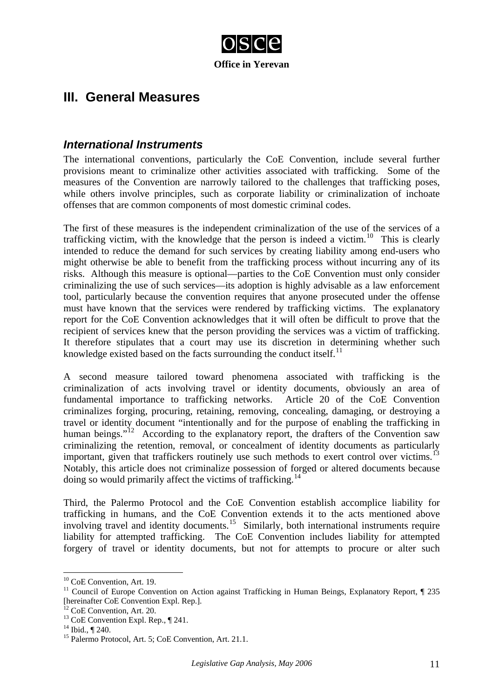

# **III. General Measures**

#### *International Instruments*

The international conventions, particularly the CoE Convention, include several further provisions meant to criminalize other activities associated with trafficking. Some of the measures of the Convention are narrowly tailored to the challenges that trafficking poses, while others involve principles, such as corporate liability or criminalization of inchoate offenses that are common components of most domestic criminal codes.

The first of these measures is the independent criminalization of the use of the services of a trafficking victim, with the knowledge that the person is indeed a victim.<sup>[10](#page-10-0)</sup> This is clearly intended to reduce the demand for such services by creating liability among end-users who might otherwise be able to benefit from the trafficking process without incurring any of its risks. Although this measure is optional—parties to the CoE Convention must only consider criminalizing the use of such services—its adoption is highly advisable as a law enforcement tool, particularly because the convention requires that anyone prosecuted under the offense must have known that the services were rendered by trafficking victims. The explanatory report for the CoE Convention acknowledges that it will often be difficult to prove that the recipient of services knew that the person providing the services was a victim of trafficking. It therefore stipulates that a court may use its discretion in determining whether such knowledge existed based on the facts surrounding the conduct itself.<sup>[11](#page-10-1)</sup>

A second measure tailored toward phenomena associated with trafficking is the criminalization of acts involving travel or identity documents, obviously an area of fundamental importance to trafficking networks. Article 20 of the CoE Convention criminalizes forging, procuring, retaining, removing, concealing, damaging, or destroying a travel or identity document "intentionally and for the purpose of enabling the trafficking in human beings."<sup>[12](#page-10-2)</sup> According to the explanatory report, the drafters of the Convention saw criminalizing the retention, removal, or concealment of identity documents as particularly important, given that traffickers routinely use such methods to exert control over victims.<sup>[13](#page-10-3)</sup> Notably, this article does not criminalize possession of forged or altered documents because doing so would primarily affect the victims of trafficking.<sup>[14](#page-10-4)</sup>

Third, the Palermo Protocol and the CoE Convention establish accomplice liability for trafficking in humans, and the CoE Convention extends it to the acts mentioned above involving travel and identity documents.<sup>[15](#page-10-5)</sup> Similarly, both international instruments require liability for attempted trafficking. The CoE Convention includes liability for attempted forgery of travel or identity documents, but not for attempts to procure or alter such

<sup>&</sup>lt;sup>10</sup> CoE Convention, Art. 19.

<span id="page-10-1"></span><span id="page-10-0"></span><sup>&</sup>lt;sup>11</sup> Council of Europe Convention on Action against Trafficking in Human Beings, Explanatory Report, ¶ 235 [hereinafter CoE Convention Expl. Rep.].

<span id="page-10-2"></span><sup>&</sup>lt;sup>12</sup> CoE Convention, Art. 20.  $13$  CoE Convention Expl. Rep.,  $\P$  241.

<span id="page-10-4"></span><span id="page-10-3"></span><sup>&</sup>lt;sup>14</sup> Ibid., ¶ 240.

<span id="page-10-5"></span><sup>&</sup>lt;sup>15</sup> Palermo Protocol, Art. 5; CoE Convention, Art. 21.1.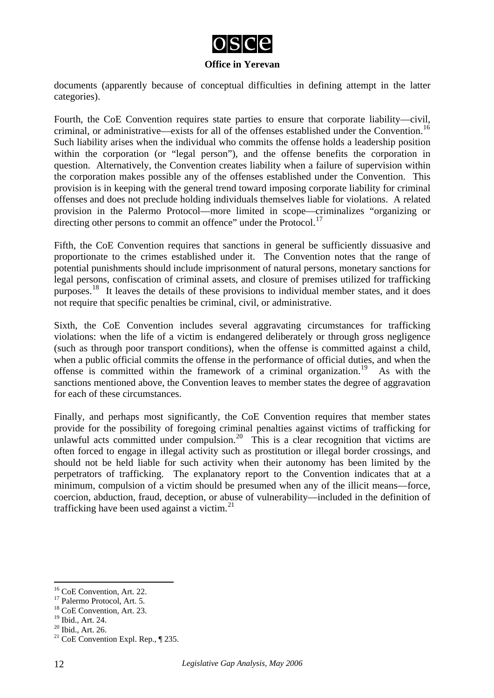

documents (apparently because of conceptual difficulties in defining attempt in the latter categories).

Fourth, the CoE Convention requires state parties to ensure that corporate liability—civil, criminal, or administrative—exists for all of the offenses established under the Convention.<sup>[16](#page-11-0)</sup> Such liability arises when the individual who commits the offense holds a leadership position within the corporation (or "legal person"), and the offense benefits the corporation in question. Alternatively, the Convention creates liability when a failure of supervision within the corporation makes possible any of the offenses established under the Convention. This provision is in keeping with the general trend toward imposing corporate liability for criminal offenses and does not preclude holding individuals themselves liable for violations. A related provision in the Palermo Protocol—more limited in scope—criminalizes "organizing or directing other persons to commit an offence" under the Protocol.<sup>[17](#page-11-1)</sup>

Fifth, the CoE Convention requires that sanctions in general be sufficiently dissuasive and proportionate to the crimes established under it. The Convention notes that the range of potential punishments should include imprisonment of natural persons, monetary sanctions for legal persons, confiscation of criminal assets, and closure of premises utilized for trafficking purposes.<sup>[18](#page-11-2)</sup> It leaves the details of these provisions to individual member states, and it does not require that specific penalties be criminal, civil, or administrative.

Sixth, the CoE Convention includes several aggravating circumstances for trafficking violations: when the life of a victim is endangered deliberately or through gross negligence (such as through poor transport conditions), when the offense is committed against a child, when a public official commits the offense in the performance of official duties, and when the offense is committed within the framework of a criminal organization.<sup>[19](#page-11-3)</sup> As with the sanctions mentioned above, the Convention leaves to member states the degree of aggravation for each of these circumstances.

Finally, and perhaps most significantly, the CoE Convention requires that member states provide for the possibility of foregoing criminal penalties against victims of trafficking for unlawful acts committed under compulsion.<sup>[20](#page-11-4)</sup> This is a clear recognition that victims are often forced to engage in illegal activity such as prostitution or illegal border crossings, and should not be held liable for such activity when their autonomy has been limited by the perpetrators of trafficking. The explanatory report to the Convention indicates that at a minimum, compulsion of a victim should be presumed when any of the illicit means—force, coercion, abduction, fraud, deception, or abuse of vulnerability—included in the definition of trafficking have been used against a victim. $^{21}$  $^{21}$  $^{21}$ 

<span id="page-11-0"></span><sup>&</sup>lt;sup>16</sup> CoE Convention, Art. 22.

<span id="page-11-1"></span><sup>&</sup>lt;sup>17</sup> Palermo Protocol, Art. 5.

<span id="page-11-2"></span><sup>&</sup>lt;sup>18</sup> CoE Convention, Art. 23.

<span id="page-11-3"></span><sup>19</sup> Ibid., Art. 24.

<span id="page-11-4"></span><sup>20</sup> Ibid., Art. 26.

<span id="page-11-5"></span><sup>&</sup>lt;sup>21</sup> CoE Convention Expl. Rep.,  $\P$  235.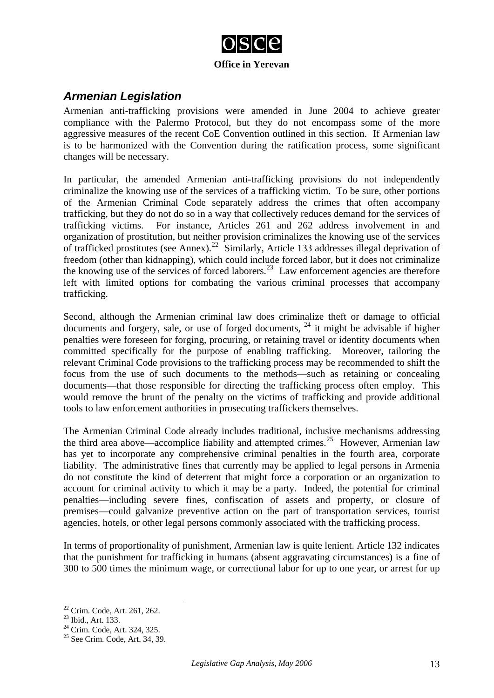

## *Armenian Legislation*

Armenian anti-trafficking provisions were amended in June 2004 to achieve greater compliance with the Palermo Protocol, but they do not encompass some of the more aggressive measures of the recent CoE Convention outlined in this section. If Armenian law is to be harmonized with the Convention during the ratification process, some significant changes will be necessary.

In particular, the amended Armenian anti-trafficking provisions do not independently criminalize the knowing use of the services of a trafficking victim. To be sure, other portions of the Armenian Criminal Code separately address the crimes that often accompany trafficking, but they do not do so in a way that collectively reduces demand for the services of trafficking victims. For instance, Articles 261 and 262 address involvement in and organization of prostitution, but neither provision criminalizes the knowing use of the services of trafficked prostitutes (see Annex).<sup>[22](#page-12-0)</sup> Similarly, Article 133 addresses illegal deprivation of freedom (other than kidnapping), which could include forced labor, but it does not criminalize the knowing use of the services of forced laborers.<sup>[23](#page-12-1)</sup> Law enforcement agencies are therefore left with limited options for combating the various criminal processes that accompany trafficking.

Second, although the Armenian criminal law does criminalize theft or damage to official documents and forgery, sale, or use of forged documents,  $^{24}$  $^{24}$  $^{24}$  it might be advisable if higher penalties were foreseen for forging, procuring, or retaining travel or identity documents when committed specifically for the purpose of enabling trafficking. Moreover, tailoring the relevant Criminal Code provisions to the trafficking process may be recommended to shift the focus from the use of such documents to the methods—such as retaining or concealing documents—that those responsible for directing the trafficking process often employ. This would remove the brunt of the penalty on the victims of trafficking and provide additional tools to law enforcement authorities in prosecuting traffickers themselves.

The Armenian Criminal Code already includes traditional, inclusive mechanisms addressing the third area above—accomplice liability and attempted crimes.<sup>[25](#page-12-3)</sup> However, Armenian law has yet to incorporate any comprehensive criminal penalties in the fourth area, corporate liability. The administrative fines that currently may be applied to legal persons in Armenia do not constitute the kind of deterrent that might force a corporation or an organization to account for criminal activity to which it may be a party. Indeed, the potential for criminal penalties—including severe fines, confiscation of assets and property, or closure of premises—could galvanize preventive action on the part of transportation services, tourist agencies, hotels, or other legal persons commonly associated with the trafficking process.

In terms of proportionality of punishment, Armenian law is quite lenient. Article 132 indicates that the punishment for trafficking in humans (absent aggravating circumstances) is a fine of 300 to 500 times the minimum wage, or correctional labor for up to one year, or arrest for up

<span id="page-12-0"></span><sup>22</sup> Crim. Code, Art. 261, 262.

<span id="page-12-1"></span><sup>23</sup> Ibid., Art. 133.

<span id="page-12-2"></span><sup>24</sup> Crim. Code, Art. 324, 325.

<span id="page-12-3"></span><sup>25</sup> See Crim. Code, Art. 34, 39.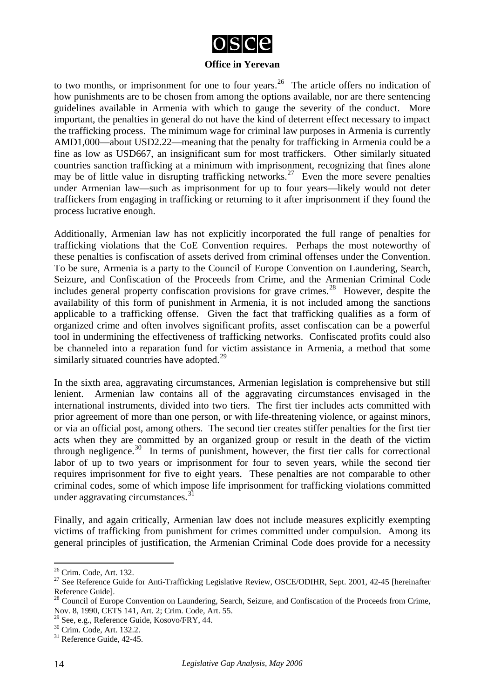

to two months, or imprisonment for one to four years.<sup>[26](#page-13-0)</sup> The article offers no indication of how punishments are to be chosen from among the options available, nor are there sentencing guidelines available in Armenia with which to gauge the severity of the conduct. More important, the penalties in general do not have the kind of deterrent effect necessary to impact the trafficking process. The minimum wage for criminal law purposes in Armenia is currently AMD1,000—about USD2.22—meaning that the penalty for trafficking in Armenia could be a fine as low as USD667, an insignificant sum for most traffickers. Other similarly situated countries sanction trafficking at a minimum with imprisonment, recognizing that fines alone may be of little value in disrupting trafficking networks.<sup>[27](#page-13-1)</sup> Even the more severe penalties under Armenian law—such as imprisonment for up to four years—likely would not deter traffickers from engaging in trafficking or returning to it after imprisonment if they found the process lucrative enough.

Additionally, Armenian law has not explicitly incorporated the full range of penalties for trafficking violations that the CoE Convention requires. Perhaps the most noteworthy of these penalties is confiscation of assets derived from criminal offenses under the Convention. To be sure, Armenia is a party to the Council of Europe Convention on Laundering, Search, Seizure, and Confiscation of the Proceeds from Crime, and the Armenian Criminal Code includes general property confiscation provisions for grave crimes.<sup>[28](#page-13-2)</sup> However, despite the availability of this form of punishment in Armenia, it is not included among the sanctions applicable to a trafficking offense. Given the fact that trafficking qualifies as a form of organized crime and often involves significant profits, asset confiscation can be a powerful tool in undermining the effectiveness of trafficking networks. Confiscated profits could also be channeled into a reparation fund for victim assistance in Armenia, a method that some similarly situated countries have adopted. $^{29}$  $^{29}$  $^{29}$ 

In the sixth area, aggravating circumstances, Armenian legislation is comprehensive but still lenient. Armenian law contains all of the aggravating circumstances envisaged in the international instruments, divided into two tiers. The first tier includes acts committed with prior agreement of more than one person, or with life-threatening violence, or against minors, or via an official post, among others. The second tier creates stiffer penalties for the first tier acts when they are committed by an organized group or result in the death of the victim through negligence.<sup>[30](#page-13-4)</sup> In terms of punishment, however, the first tier calls for correctional labor of up to two years or imprisonment for four to seven years, while the second tier requires imprisonment for five to eight years. These penalties are not comparable to other criminal codes, some of which impose life imprisonment for trafficking violations committed under aggravating circumstances. $31$ 

Finally, and again critically, Armenian law does not include measures explicitly exempting victims of trafficking from punishment for crimes committed under compulsion. Among its general principles of justification, the Armenian Criminal Code does provide for a necessity

<span id="page-13-0"></span><sup>26</sup> Crim. Code, Art. 132.

<span id="page-13-1"></span><sup>&</sup>lt;sup>27</sup> See Reference Guide for Anti-Trafficking Legislative Review, OSCE/ODIHR, Sept. 2001, 42-45 [hereinafter Reference Guide].

<span id="page-13-2"></span><sup>&</sup>lt;sup>28</sup> Council of Europe Convention on Laundering, Search, Seizure, and Confiscation of the Proceeds from Crime, Nov. 8, 1990, CETS 141, Art. 2; Crim. Code, Art. 55.

 $29$  See, e.g., Reference Guide, Kosovo/FRY, 44.

<span id="page-13-4"></span><span id="page-13-3"></span><sup>30</sup> Crim. Code, Art. 132.2.

<span id="page-13-5"></span><sup>&</sup>lt;sup>31</sup> Reference Guide, 42-45.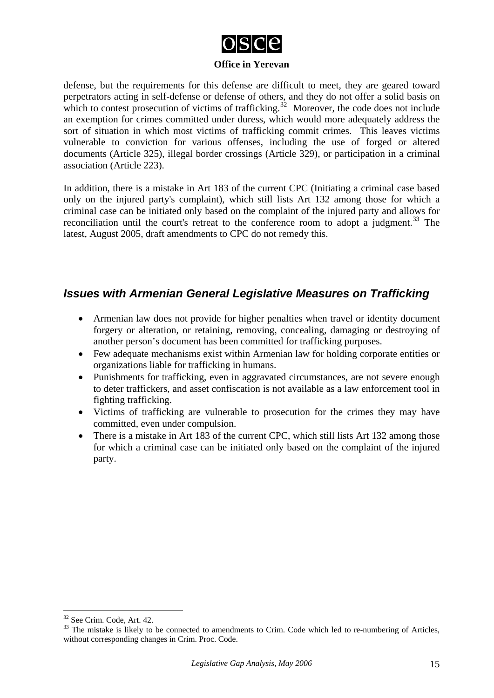

defense, but the requirements for this defense are difficult to meet, they are geared toward perpetrators acting in self-defense or defense of others, and they do not offer a solid basis on which to contest prosecution of victims of trafficking.<sup>[32](#page-14-0)</sup> Moreover, the code does not include an exemption for crimes committed under duress, which would more adequately address the sort of situation in which most victims of trafficking commit crimes. This leaves victims vulnerable to conviction for various offenses, including the use of forged or altered documents (Article 325), illegal border crossings (Article 329), or participation in a criminal association (Article 223).

In addition, there is a mistake in Art 183 of the current CPC (Initiating a criminal case based only on the injured party's complaint), which still lists Art 132 among those for which a criminal case can be initiated only based on the complaint of the injured party and allows for reconciliation until the court's retreat to the conference room to adopt a judgment.<sup>[33](#page-14-1)</sup> The latest, August 2005, draft amendments to CPC do not remedy this.

#### *Issues with Armenian General Legislative Measures on Trafficking*

- Armenian law does not provide for higher penalties when travel or identity document forgery or alteration, or retaining, removing, concealing, damaging or destroying of another person's document has been committed for trafficking purposes.
- Few adequate mechanisms exist within Armenian law for holding corporate entities or organizations liable for trafficking in humans.
- Punishments for trafficking, even in aggravated circumstances, are not severe enough to deter traffickers, and asset confiscation is not available as a law enforcement tool in fighting trafficking.
- Victims of trafficking are vulnerable to prosecution for the crimes they may have committed, even under compulsion.
- There is a mistake in Art 183 of the current CPC, which still lists Art 132 among those for which a criminal case can be initiated only based on the complaint of the injured party.

<span id="page-14-0"></span><sup>32</sup> See Crim. Code, Art. 42.

<span id="page-14-1"></span><sup>&</sup>lt;sup>33</sup> The mistake is likely to be connected to amendments to Crim. Code which led to re-numbering of Articles, without corresponding changes in Crim. Proc. Code.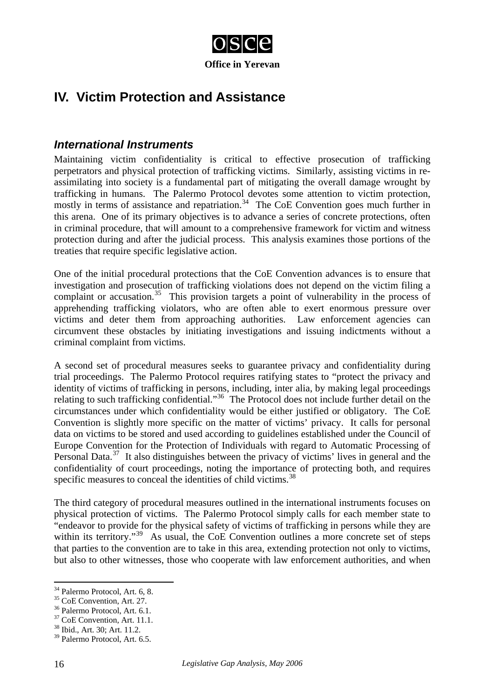

# **IV. Victim Protection and Assistance**

#### *International Instruments*

Maintaining victim confidentiality is critical to effective prosecution of trafficking perpetrators and physical protection of trafficking victims. Similarly, assisting victims in reassimilating into society is a fundamental part of mitigating the overall damage wrought by trafficking in humans. The Palermo Protocol devotes some attention to victim protection, mostly in terms of assistance and repatriation.<sup>[34](#page-15-0)</sup> The CoE Convention goes much further in this arena. One of its primary objectives is to advance a series of concrete protections, often in criminal procedure, that will amount to a comprehensive framework for victim and witness protection during and after the judicial process. This analysis examines those portions of the treaties that require specific legislative action.

One of the initial procedural protections that the CoE Convention advances is to ensure that investigation and prosecution of trafficking violations does not depend on the victim filing a complaint or accusation.<sup>[35](#page-15-1)</sup> This provision targets a point of vulnerability in the process of apprehending trafficking violators, who are often able to exert enormous pressure over victims and deter them from approaching authorities. Law enforcement agencies can circumvent these obstacles by initiating investigations and issuing indictments without a criminal complaint from victims.

A second set of procedural measures seeks to guarantee privacy and confidentiality during trial proceedings. The Palermo Protocol requires ratifying states to "protect the privacy and identity of victims of trafficking in persons, including, inter alia, by making legal proceedings relating to such trafficking confidential."[36](#page-15-2) The Protocol does not include further detail on the circumstances under which confidentiality would be either justified or obligatory. The CoE Convention is slightly more specific on the matter of victims' privacy. It calls for personal data on victims to be stored and used according to guidelines established under the Council of Europe Convention for the Protection of Individuals with regard to Automatic Processing of Personal Data.<sup>[37](#page-15-3)</sup> It also distinguishes between the privacy of victims' lives in general and the confidentiality of court proceedings, noting the importance of protecting both, and requires specific measures to conceal the identities of child victims.<sup>[38](#page-15-4)</sup>

The third category of procedural measures outlined in the international instruments focuses on physical protection of victims. The Palermo Protocol simply calls for each member state to "endeavor to provide for the physical safety of victims of trafficking in persons while they are within its territory."<sup>[39](#page-15-5)</sup> As usual, the CoE Convention outlines a more concrete set of steps that parties to the convention are to take in this area, extending protection not only to victims, but also to other witnesses, those who cooperate with law enforcement authorities, and when

<sup>1</sup> 34 Palermo Protocol, Art. 6, 8.

<span id="page-15-1"></span><span id="page-15-0"></span><sup>35</sup> CoE Convention, Art. 27.

<span id="page-15-2"></span><sup>36</sup> Palermo Protocol, Art. 6.1.

<span id="page-15-3"></span><sup>&</sup>lt;sup>37</sup> CoE Convention, Art. 11.1.

<span id="page-15-4"></span><sup>38</sup> Ibid., Art. 30; Art. 11.2.

<span id="page-15-5"></span><sup>39</sup> Palermo Protocol, Art. 6.5.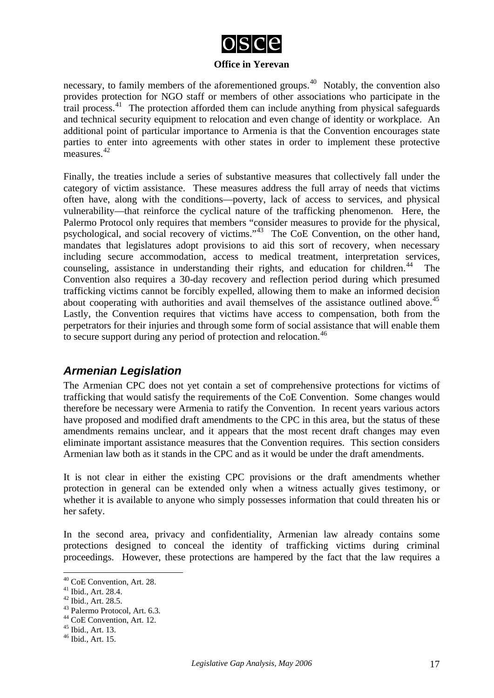

necessary, to family members of the aforementioned groups.<sup>[40](#page-16-0)</sup> Notably, the convention also provides protection for NGO staff or members of other associations who participate in the trail process.<sup>[41](#page-16-1)</sup> The protection afforded them can include anything from physical safeguards and technical security equipment to relocation and even change of identity or workplace. An additional point of particular importance to Armenia is that the Convention encourages state parties to enter into agreements with other states in order to implement these protective measures.<sup>[42](#page-16-2)</sup>

Finally, the treaties include a series of substantive measures that collectively fall under the category of victim assistance. These measures address the full array of needs that victims often have, along with the conditions—poverty, lack of access to services, and physical vulnerability—that reinforce the cyclical nature of the trafficking phenomenon. Here, the Palermo Protocol only requires that members "consider measures to provide for the physical, psychological, and social recovery of victims."<sup>[43](#page-16-3)</sup> The CoE Convention, on the other hand, mandates that legislatures adopt provisions to aid this sort of recovery, when necessary including secure accommodation, access to medical treatment, interpretation services, counseling, assistance in understanding their rights, and education for children.<sup>[44](#page-16-4)</sup> The Convention also requires a 30-day recovery and reflection period during which presumed trafficking victims cannot be forcibly expelled, allowing them to make an informed decision about cooperating with authorities and avail themselves of the assistance outlined above.<sup>[45](#page-16-5)</sup> Lastly, the Convention requires that victims have access to compensation, both from the perpetrators for their injuries and through some form of social assistance that will enable them to secure support during any period of protection and relocation.<sup>[46](#page-16-6)</sup>

## *Armenian Legislation*

The Armenian CPC does not yet contain a set of comprehensive protections for victims of trafficking that would satisfy the requirements of the CoE Convention. Some changes would therefore be necessary were Armenia to ratify the Convention. In recent years various actors have proposed and modified draft amendments to the CPC in this area, but the status of these amendments remains unclear, and it appears that the most recent draft changes may even eliminate important assistance measures that the Convention requires. This section considers Armenian law both as it stands in the CPC and as it would be under the draft amendments.

It is not clear in either the existing CPC provisions or the draft amendments whether protection in general can be extended only when a witness actually gives testimony, or whether it is available to anyone who simply possesses information that could threaten his or her safety.

In the second area, privacy and confidentiality, Armenian law already contains some protections designed to conceal the identity of trafficking victims during criminal proceedings. However, these protections are hampered by the fact that the law requires a

<sup>40</sup> CoE Convention, Art. 28.

<span id="page-16-1"></span><span id="page-16-0"></span><sup>41</sup> Ibid., Art. 28.4.

<span id="page-16-2"></span><sup>42</sup> Ibid., Art. 28.5.

<span id="page-16-3"></span><sup>43</sup> Palermo Protocol, Art. 6.3.

<span id="page-16-4"></span><sup>44</sup> CoE Convention, Art. 12.

<span id="page-16-5"></span><sup>45</sup> Ibid., Art. 13.

<span id="page-16-6"></span><sup>46</sup> Ibid., Art. 15.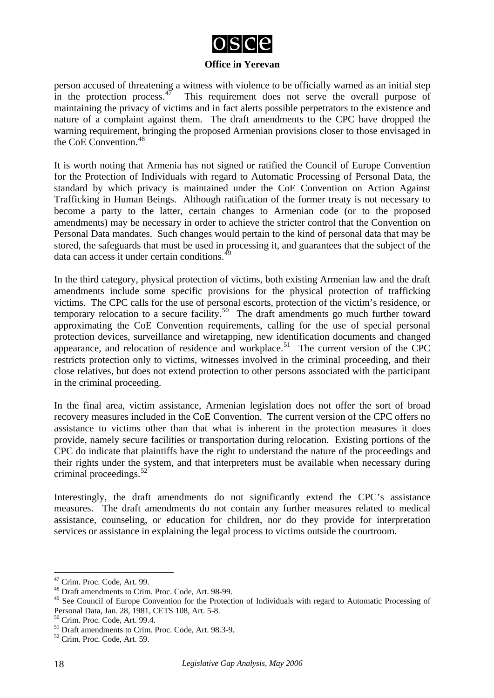

person accused of threatening a witness with violence to be officially warned as an initial step in the protection process. $17$  This requirement does not serve the overall purpose of maintaining the privacy of victims and in fact alerts possible perpetrators to the existence and nature of a complaint against them. The draft amendments to the CPC have dropped the warning requirement, bringing the proposed Armenian provisions closer to those envisaged in the  $CoE$  Convention<sup>[48](#page-17-1)</sup>

It is worth noting that Armenia has not signed or ratified the Council of Europe Convention for the Protection of Individuals with regard to Automatic Processing of Personal Data, the standard by which privacy is maintained under the CoE Convention on Action Against Trafficking in Human Beings. Although ratification of the former treaty is not necessary to become a party to the latter, certain changes to Armenian code (or to the proposed amendments) may be necessary in order to achieve the stricter control that the Convention on Personal Data mandates. Such changes would pertain to the kind of personal data that may be stored, the safeguards that must be used in processing it, and guarantees that the subject of the data can access it under certain conditions. $4^{\circ}$ 

In the third category, physical protection of victims, both existing Armenian law and the draft amendments include some specific provisions for the physical protection of trafficking victims. The CPC calls for the use of personal escorts, protection of the victim's residence, or temporary relocation to a secure facility.<sup>[50](#page-17-3)</sup> The draft amendments go much further toward approximating the CoE Convention requirements, calling for the use of special personal protection devices, surveillance and wiretapping, new identification documents and changed appearance, and relocation of residence and workplace.<sup>[51](#page-17-4)</sup> The current version of the CPC restricts protection only to victims, witnesses involved in the criminal proceeding, and their close relatives, but does not extend protection to other persons associated with the participant in the criminal proceeding.

In the final area, victim assistance, Armenian legislation does not offer the sort of broad recovery measures included in the CoE Convention. The current version of the CPC offers no assistance to victims other than that what is inherent in the protection measures it does provide, namely secure facilities or transportation during relocation. Existing portions of the CPC do indicate that plaintiffs have the right to understand the nature of the proceedings and their rights under the system, and that interpreters must be available when necessary during criminal proceedings. $52$ 

Interestingly, the draft amendments do not significantly extend the CPC's assistance measures. The draft amendments do not contain any further measures related to medical assistance, counseling, or education for children, nor do they provide for interpretation services or assistance in explaining the legal process to victims outside the courtroom.

<span id="page-17-0"></span><sup>&</sup>lt;sup>47</sup> Crim. Proc. Code, Art. 99.

<span id="page-17-1"></span><sup>48</sup> Draft amendments to Crim. Proc. Code, Art. 98-99.

<span id="page-17-2"></span><sup>&</sup>lt;sup>49</sup> See Council of Europe Convention for the Protection of Individuals with regard to Automatic Processing of Personal Data, Jan. 28, 1981, CETS 108, Art. 5-8.

<span id="page-17-3"></span><sup>50</sup> Crim. Proc. Code, Art. 99.4.

<span id="page-17-4"></span><sup>51</sup> Draft amendments to Crim. Proc. Code, Art. 98.3-9.

<span id="page-17-5"></span><sup>52</sup> Crim. Proc. Code, Art. 59.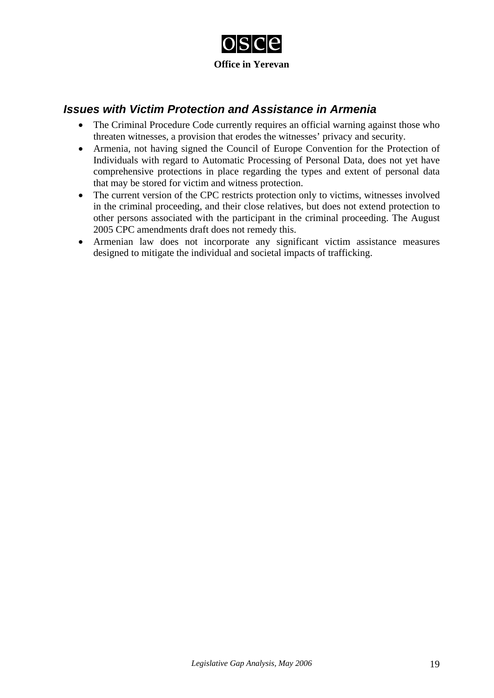

## *Issues with Victim Protection and Assistance in Armenia*

- The Criminal Procedure Code currently requires an official warning against those who threaten witnesses, a provision that erodes the witnesses' privacy and security.
- Armenia, not having signed the Council of Europe Convention for the Protection of Individuals with regard to Automatic Processing of Personal Data, does not yet have comprehensive protections in place regarding the types and extent of personal data that may be stored for victim and witness protection.
- The current version of the CPC restricts protection only to victims, witnesses involved in the criminal proceeding, and their close relatives, but does not extend protection to other persons associated with the participant in the criminal proceeding. The August 2005 CPC amendments draft does not remedy this.
- Armenian law does not incorporate any significant victim assistance measures designed to mitigate the individual and societal impacts of trafficking.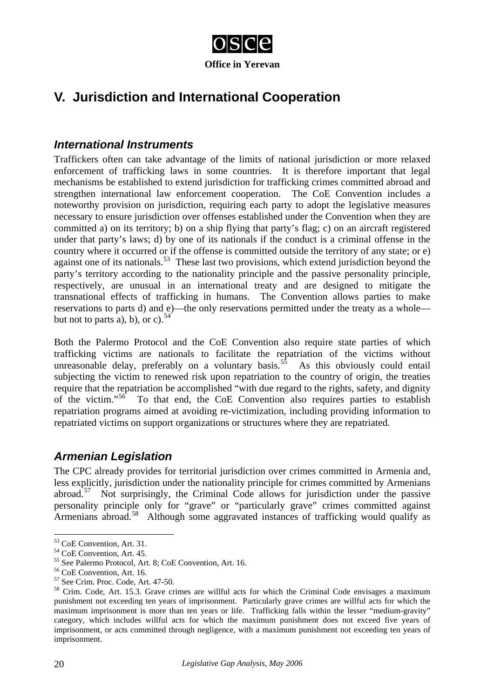

# **V. Jurisdiction and International Cooperation**

### *International Instruments*

Traffickers often can take advantage of the limits of national jurisdiction or more relaxed enforcement of trafficking laws in some countries. It is therefore important that legal mechanisms be established to extend jurisdiction for trafficking crimes committed abroad and strengthen international law enforcement cooperation. The CoE Convention includes a noteworthy provision on jurisdiction, requiring each party to adopt the legislative measures necessary to ensure jurisdiction over offenses established under the Convention when they are committed a) on its territory; b) on a ship flying that party's flag; c) on an aircraft registered under that party's laws; d) by one of its nationals if the conduct is a criminal offense in the country where it occurred or if the offense is committed outside the territory of any state; or e) against one of its nationals.<sup>[53](#page-19-0)</sup> These last two provisions, which extend jurisdiction beyond the party's territory according to the nationality principle and the passive personality principle, respectively, are unusual in an international treaty and are designed to mitigate the transnational effects of trafficking in humans. The Convention allows parties to make reservations to parts d) and e)—the only reservations permitted under the treaty as a whole but not to parts a), b), or c).  $54$ 

Both the Palermo Protocol and the CoE Convention also require state parties of which trafficking victims are nationals to facilitate the repatriation of the victims without unreasonable delay, preferably on a voluntary basis.<sup>[55](#page-19-2)</sup> As this obviously could entail subjecting the victim to renewed risk upon repatriation to the country of origin, the treaties require that the repatriation be accomplished "with due regard to the rights, safety, and dignity of the victim."[56](#page-19-3) To that end, the CoE Convention also requires parties to establish repatriation programs aimed at avoiding re-victimization, including providing information to repatriated victims on support organizations or structures where they are repatriated.

## *Armenian Legislation*

The CPC already provides for territorial jurisdiction over crimes committed in Armenia and, less explicitly, jurisdiction under the nationality principle for crimes committed by Armenians abroad.<sup>[57](#page-19-4)</sup> Not surprisingly, the Criminal Code allows for jurisdiction under the passive personality principle only for "grave" or "particularly grave" crimes committed against Armenians abroad.<sup>[58](#page-19-5)</sup> Although some aggravated instances of trafficking would qualify as

<span id="page-19-0"></span><sup>53</sup> CoE Convention, Art. 31.

<span id="page-19-1"></span><sup>54</sup> CoE Convention, Art. 45.

<sup>55</sup> See Palermo Protocol, Art. 8; CoE Convention, Art. 16.

<span id="page-19-3"></span><span id="page-19-2"></span><sup>56</sup> CoE Convention, Art. 16.

<span id="page-19-4"></span><sup>57</sup> See Crim. Proc. Code, Art. 47-50.

<span id="page-19-5"></span><sup>&</sup>lt;sup>58</sup> Crim. Code, Art. 15.3. Grave crimes are willful acts for which the Criminal Code envisages a maximum punishment not exceeding ten years of imprisonment. Particularly grave crimes are willful acts for which the maximum imprisonment is more than ten years or life. Trafficking falls within the lesser "medium-gravity" category, which includes willful acts for which the maximum punishment does not exceed five years of imprisonment, or acts committed through negligence, with a maximum punishment not exceeding ten years of imprisonment.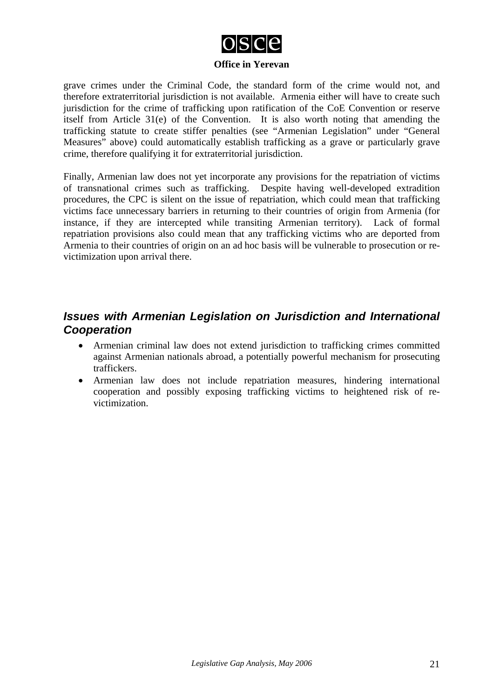

grave crimes under the Criminal Code, the standard form of the crime would not, and therefore extraterritorial jurisdiction is not available. Armenia either will have to create such jurisdiction for the crime of trafficking upon ratification of the CoE Convention or reserve itself from Article 31(e) of the Convention. It is also worth noting that amending the trafficking statute to create stiffer penalties (see "Armenian Legislation" under "General Measures" above) could automatically establish trafficking as a grave or particularly grave crime, therefore qualifying it for extraterritorial jurisdiction.

Finally, Armenian law does not yet incorporate any provisions for the repatriation of victims of transnational crimes such as trafficking. Despite having well-developed extradition procedures, the CPC is silent on the issue of repatriation, which could mean that trafficking victims face unnecessary barriers in returning to their countries of origin from Armenia (for instance, if they are intercepted while transiting Armenian territory). Lack of formal repatriation provisions also could mean that any trafficking victims who are deported from Armenia to their countries of origin on an ad hoc basis will be vulnerable to prosecution or revictimization upon arrival there.

## *Issues with Armenian Legislation on Jurisdiction and International Cooperation*

- Armenian criminal law does not extend jurisdiction to trafficking crimes committed against Armenian nationals abroad, a potentially powerful mechanism for prosecuting traffickers.
- Armenian law does not include repatriation measures, hindering international cooperation and possibly exposing trafficking victims to heightened risk of revictimization.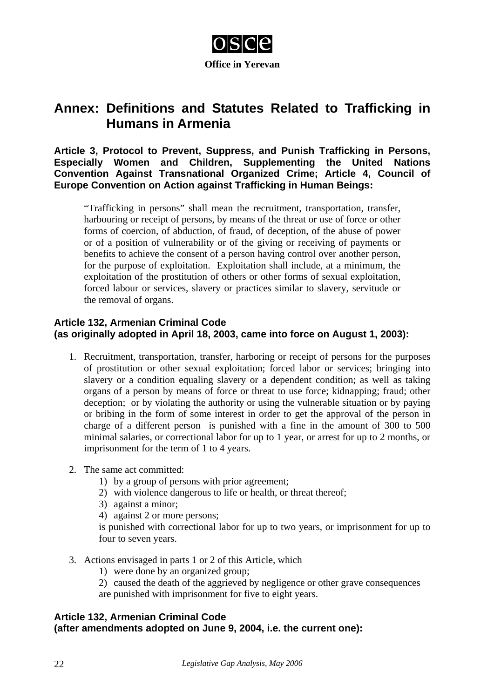

# **Annex: Definitions and Statutes Related to Trafficking in Humans in Armenia**

**Article 3, Protocol to Prevent, Suppress, and Punish Trafficking in Persons, Especially Women and Children, Supplementing the United Nations Convention Against Transnational Organized Crime; Article 4, Council of Europe Convention on Action against Trafficking in Human Beings:**

"Trafficking in persons" shall mean the recruitment, transportation, transfer, harbouring or receipt of persons, by means of the threat or use of force or other forms of coercion, of abduction, of fraud, of deception, of the abuse of power or of a position of vulnerability or of the giving or receiving of payments or benefits to achieve the consent of a person having control over another person, for the purpose of exploitation. Exploitation shall include, at a minimum, the exploitation of the prostitution of others or other forms of sexual exploitation, forced labour or services, slavery or practices similar to slavery, servitude or the removal of organs.

#### **Article 132, Armenian Criminal Code (as originally adopted in April 18, 2003, came into force on August 1, 2003):**

- 1. Recruitment, transportation, transfer, harboring or receipt of persons for the purposes of prostitution or other sexual exploitation; forced labor or services; bringing into slavery or a condition equaling slavery or a dependent condition; as well as taking organs of a person by means of force or threat to use force; kidnapping; fraud; other deception; or by violating the authority or using the vulnerable situation or by paying or bribing in the form of some interest in order to get the approval of the person in charge of a different person is punished with a fine in the amount of 300 to 500 minimal salaries, or correctional labor for up to 1 year, or arrest for up to 2 months, or imprisonment for the term of 1 to 4 years.
- 2. The same act committed:
	- 1) by a group of persons with prior agreement;
	- 2) with violence dangerous to life or health, or threat thereof;
	- 3) against a minor;
	- 4) against 2 or more persons;

is punished with correctional labor for up to two years, or imprisonment for up to four to seven years.

- 3. Actions envisaged in parts 1 or 2 of this Article, which
	- 1) were done by an organized group;
	- 2) caused the death of the aggrieved by negligence or other grave consequences
	- are punished with imprisonment for five to eight years.

#### **Article 132, Armenian Criminal Code (after amendments adopted on June 9, 2004, i.e. the current one):**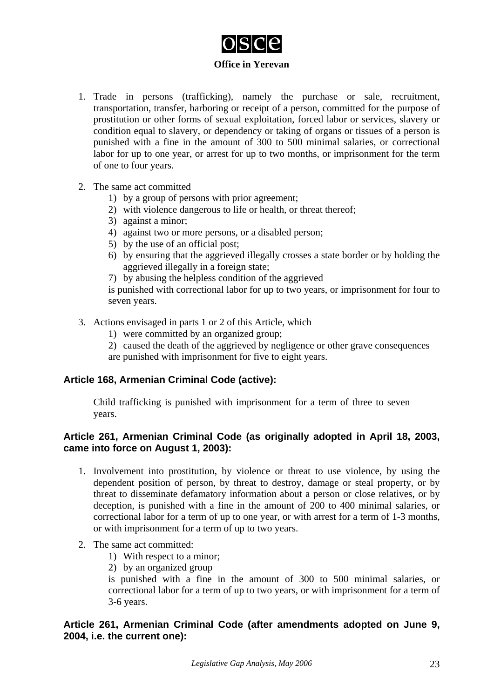

- 1. Trade in persons (trafficking), namely the purchase or sale, recruitment, transportation, transfer, harboring or receipt of a person, committed for the purpose of prostitution or other forms of sexual exploitation, forced labor or services, slavery or condition equal to slavery, or dependency or taking of organs or tissues of a person is punished with a fine in the amount of 300 to 500 minimal salaries, or correctional labor for up to one year, or arrest for up to two months, or imprisonment for the term of one to four years.
- 2. The same act committed
	- 1) by a group of persons with prior agreement;
	- 2) with violence dangerous to life or health, or threat thereof;
	- 3) against a minor;
	- 4) against two or more persons, or a disabled person;
	- 5) by the use of an official post;
	- 6) by ensuring that the aggrieved illegally crosses a state border or by holding the aggrieved illegally in a foreign state;
	- 7) by abusing the helpless condition of the aggrieved

is punished with correctional labor for up to two years, or imprisonment for four to seven years.

- 3. Actions envisaged in parts 1 or 2 of this Article, which
	- 1) were committed by an organized group;
	- 2) caused the death of the aggrieved by negligence or other grave consequences are punished with imprisonment for five to eight years.

#### **Article 168, Armenian Criminal Code (active):**

Child trafficking is punished with imprisonment for a term of three to seven years.

#### **Article 261, Armenian Criminal Code (as originally adopted in April 18, 2003, came into force on August 1, 2003):**

- 1. Involvement into prostitution, by violence or threat to use violence, by using the dependent position of person, by threat to destroy, damage or steal property, or by threat to disseminate defamatory information about a person or close relatives, or by deception, is punished with a fine in the amount of 200 to 400 minimal salaries, or correctional labor for a term of up to one year, or with arrest for a term of 1-3 months, or with imprisonment for a term of up to two years.
- 2. The same act committed:
	- 1) With respect to a minor;
	- 2) by an organized group

is punished with a fine in the amount of 300 to 500 minimal salaries, or correctional labor for a term of up to two years, or with imprisonment for a term of 3-6 years.

#### **Article 261, Armenian Criminal Code (after amendments adopted on June 9, 2004, i.e. the current one):**